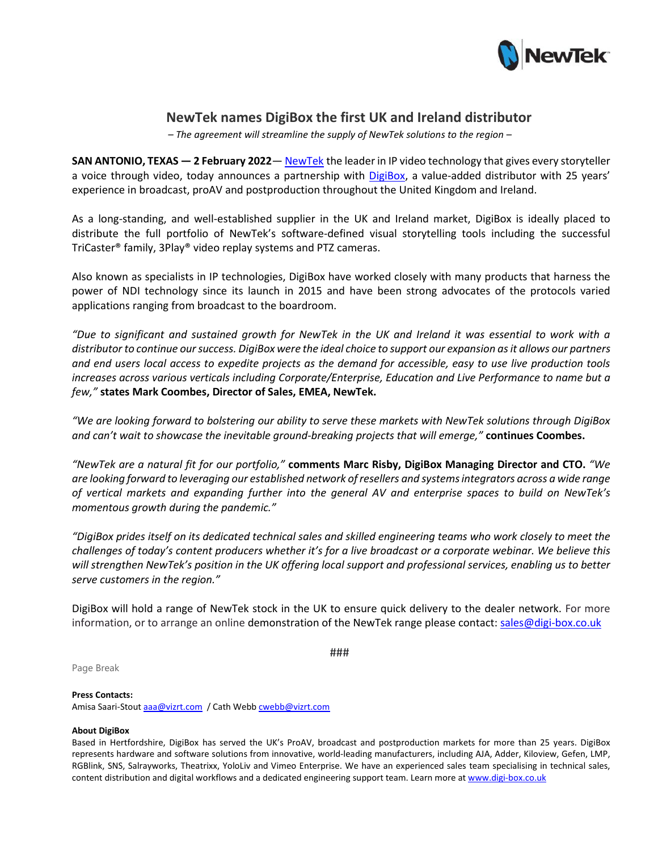

# **NewTek names DigiBox the first UK and Ireland distributor**

*– The agreement will streamline the supply of NewTek solutions to the region –*

**SAN ANTONIO, TEXAS — 2 February 2022**— [NewTek](https://www.newtek.com/) the leader in IP video technology that gives every storyteller a voice through video, today announces a partnership with [DigiBox,](https://www.digi-box.co.uk/) a value-added distributor with 25 years' experience in broadcast, proAV and postproduction throughout the United Kingdom and Ireland.

As a long-standing, and well-established supplier in the UK and Ireland market, DigiBox is ideally placed to distribute the full portfolio of NewTek's software-defined visual storytelling tools including the successful TriCaster® family, 3Play® video replay systems and PTZ cameras.

Also known as specialists in IP technologies, DigiBox have worked closely with many products that harness the power of NDI technology since its launch in 2015 and have been strong advocates of the protocols varied applications ranging from broadcast to the boardroom.

*"Due to significant and sustained growth for NewTek in the UK and Ireland it was essential to work with a distributor to continue our success. DigiBox were the ideal choice to support our expansion as it allows our partners and end users local access to expedite projects as the demand for accessible, easy to use live production tools increases across various verticals including Corporate/Enterprise, Education and Live Performance to name but a few,"* **states Mark Coombes, Director of Sales, EMEA, NewTek.**

*"We are looking forward to bolstering our ability to serve these markets with NewTek solutions through DigiBox and can't wait to showcase the inevitable ground-breaking projects that will emerge,"* **continues Coombes.** 

*"NewTek are a natural fit for our portfolio,"* **comments Marc Risby, DigiBox Managing Director and CTO.** *"We are looking forward to leveraging our established network of resellers and systems integrators across a wide range of vertical markets and expanding further into the general AV and enterprise spaces to build on NewTek's momentous growth during the pandemic."*

*"DigiBox prides itself on its dedicated technical sales and skilled engineering teams who work closely to meet the challenges of today's content producers whether it's for a live broadcast or a corporate webinar. We believe this will strengthen NewTek's position in the UK offering local support and professional services, enabling us to better serve customers in the region."*

DigiBox will hold a range of NewTek stock in the UK to ensure quick delivery to the dealer network. For more information, or to arrange an online demonstration of the NewTek range please contact[: sales@digi](mailto:sales@digi-box.co.uk)-box.co.uk

###

Page Break

## **Press Contacts:**

Amisa Saari-Stou[t aaa@vizrt.com](mailto:aaa@vizrt.com) / Cath Webb [cwebb@vizrt.com](mailto:Lead%7Ccwebb@vizrt.com)

## **About DigiBox**

Based in Hertfordshire, DigiBox has served the UK's ProAV, broadcast and postproduction markets for more than 25 years. DigiBox represents hardware and software solutions from innovative, world-leading manufacturers, including AJA, Adder, Kiloview, Gefen, LMP, RGBlink, SNS, Salrayworks, Theatrixx, YoloLiv and Vimeo Enterprise. We have an experienced sales team specialising in technical sales, content distribution and digital workflows and a dedicated engineering support team. Learn more a[t www.digi](http://www.digi-box.co.uk/)-box.co.uk